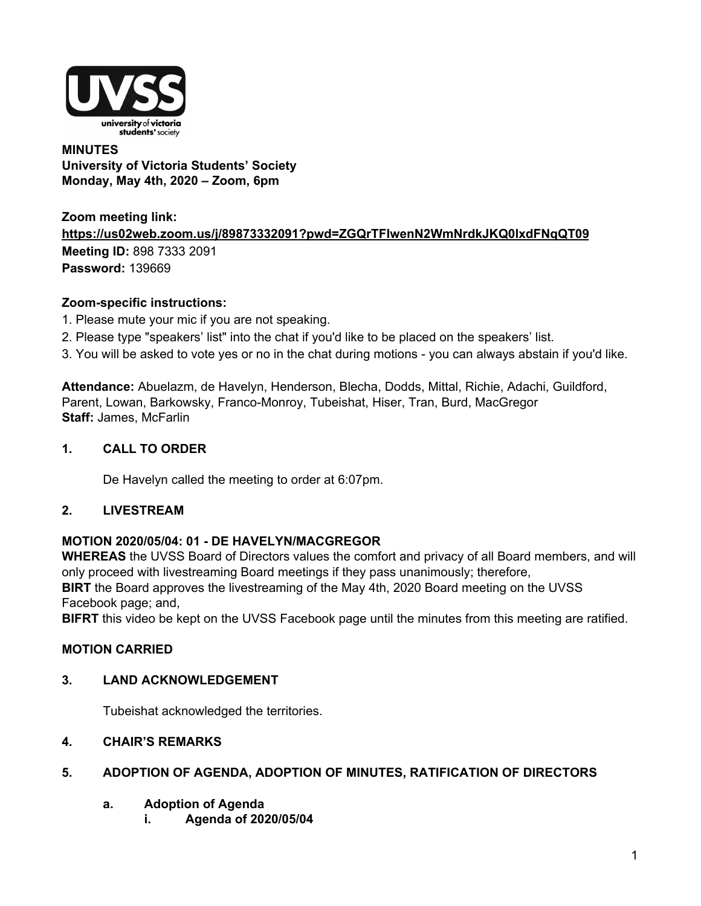

## **MINUTES University of Victoria Students' Society Monday, May 4th, 2020 – Zoom, 6pm**

**Zoom meeting link: https://us02web.zoom.us/j/89873332091?pwd=ZGQrTFIwenN2WmNrdkJKQ0lxdFNqQT09 Meeting ID:** 898 7333 2091 **Password:** 139669

## **Zoom-specific instructions:**

- 1. Please mute your mic if you are not speaking.
- 2. Please type "speakers' list" into the chat if you'd like to be placed on the speakers' list.
- 3. You will be asked to vote yes or no in the chat during motions you can always abstain if you'd like.

**Attendance:** Abuelazm, de Havelyn, Henderson, Blecha, Dodds, Mittal, Richie, Adachi, Guildford, Parent, Lowan, Barkowsky, Franco-Monroy, Tubeishat, Hiser, Tran, Burd, MacGregor **Staff:** James, McFarlin

## **1. CALL TO ORDER**

De Havelyn called the meeting to order at 6:07pm.

## **2. LIVESTREAM**

#### **MOTION 2020/05/04: 01 - DE HAVELYN/MACGREGOR**

**WHEREAS** the UVSS Board of Directors values the comfort and privacy of all Board members, and will only proceed with livestreaming Board meetings if they pass unanimously; therefore, **BIRT** the Board approves the livestreaming of the May 4th, 2020 Board meeting on the UVSS Facebook page; and,

**BIFRT** this video be kept on the UVSS Facebook page until the minutes from this meeting are ratified.

## **MOTION CARRIED**

## **3. LAND ACKNOWLEDGEMENT**

Tubeishat acknowledged the territories.

#### **4. CHAIR'S REMARKS**

#### **5. ADOPTION OF AGENDA, ADOPTION OF MINUTES, RATIFICATION OF DIRECTORS**

#### **a. Adoption of Agenda**

**i. Agenda of 2020/05/04**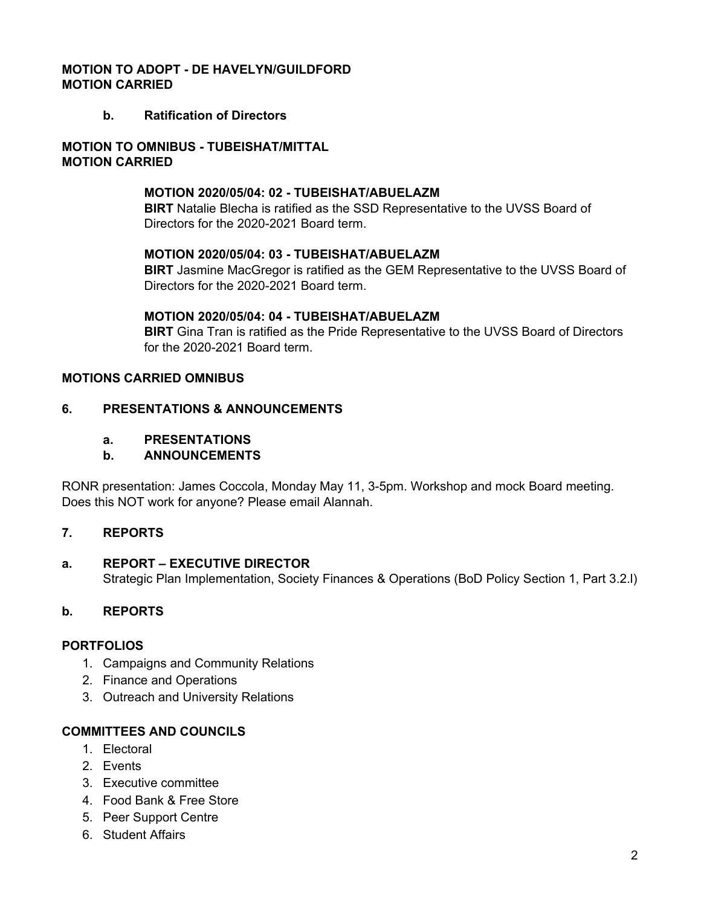## **MOTION TO ADOPT - DE HAVELYN/GUILDFORD MOTION CARRIED**

## **b. Ratification of Directors**

## **MOTION TO OMNIBUS - TUBEISHAT/MITTAL MOTION CARRIED**

#### **MOTION 2020/05/04: 02 - TUBEISHAT/ABUELAZM**

**BIRT** Natalie Blecha is ratified as the SSD Representative to the UVSS Board of Directors for the 2020-2021 Board term.

#### **MOTION 2020/05/04: 03 - TUBEISHAT/ABUELAZM**

**BIRT** Jasmine MacGregor is ratified as the GEM Representative to the UVSS Board of Directors for the 2020-2021 Board term.

#### **MOTION 2020/05/04: 04 - TUBEISHAT/ABUELAZM**

**BIRT** Gina Tran is ratified as the Pride Representative to the UVSS Board of Directors for the 2020-2021 Board term.

#### **MOTIONS CARRIED OMNIBUS**

#### **6. PRESENTATIONS & ANNOUNCEMENTS**

**a. PRESENTATIONS**

#### **b. ANNOUNCEMENTS**

RONR presentation: James Coccola, Monday May 11, 3-5pm. Workshop and mock Board meeting. Does this NOT work for anyone? Please email Alannah.

#### **7. REPORTS**

#### **a. REPORT – EXECUTIVE DIRECTOR** Strategic Plan Implementation, Society Finances & Operations (BoD Policy Section 1, Part 3.2.l)

## **b. REPORTS**

#### **PORTFOLIOS**

- 1. Campaigns and Community Relations
- 2. Finance and Operations
- 3. Outreach and University Relations

## **COMMITTEES AND COUNCILS**

- 1. Electoral
- 2. Events
- 3. Executive committee
- 4. Food Bank & Free Store
- 5. Peer Support Centre
- 6. Student Affairs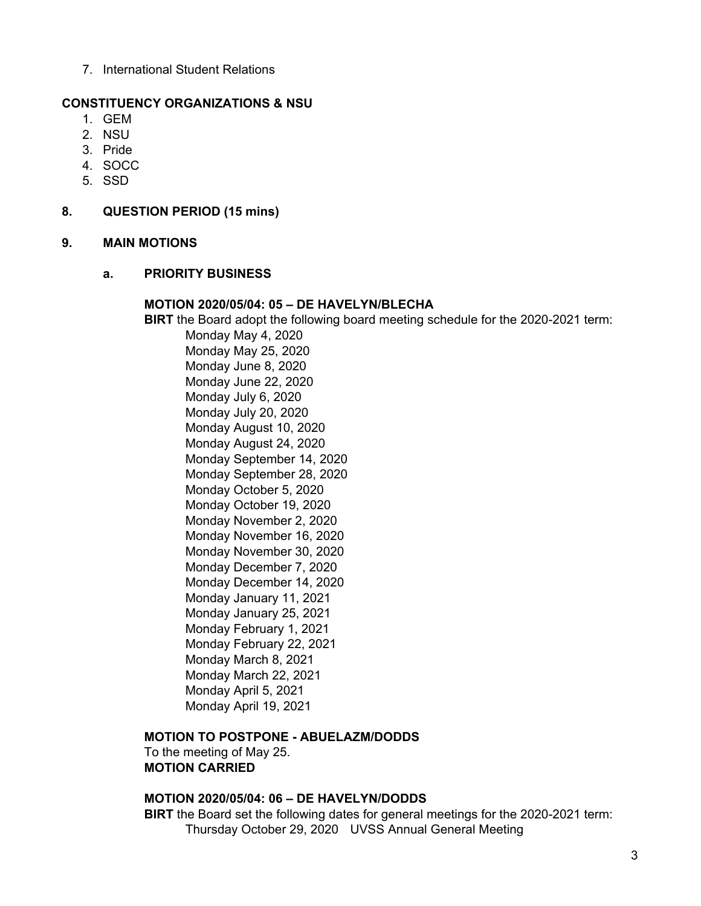7. International Student Relations

# **CONSTITUENCY ORGANIZATIONS & NSU**

- 1. GEM
- 2. NSU
- 3. Pride
- 4. SOCC
- 5. SSD

# **8. QUESTION PERIOD (15 mins)**

# **9. MAIN MOTIONS**

# **a. PRIORITY BUSINESS**

# **MOTION 2020/05/04: 05 – DE HAVELYN/BLECHA**

**BIRT** the Board adopt the following board meeting schedule for the 2020-2021 term:

Monday May 4, 2020 Monday May 25, 2020 Monday June 8, 2020 Monday June 22, 2020 Monday July 6, 2020 Monday July 20, 2020 Monday August 10, 2020 Monday August 24, 2020 Monday September 14, 2020 Monday September 28, 2020 Monday October 5, 2020 Monday October 19, 2020 Monday November 2, 2020 Monday November 16, 2020 Monday November 30, 2020 Monday December 7, 2020 Monday December 14, 2020 Monday January 11, 2021 Monday January 25, 2021 Monday February 1, 2021 Monday February 22, 2021 Monday March 8, 2021 Monday March 22, 2021 Monday April 5, 2021 Monday April 19, 2021

**MOTION TO POSTPONE - ABUELAZM/DODDS** To the meeting of May 25. **MOTION CARRIED**

# **MOTION 2020/05/04: 06 – DE HAVELYN/DODDS**

**BIRT** the Board set the following dates for general meetings for the 2020-2021 term: Thursday October 29, 2020 UVSS Annual General Meeting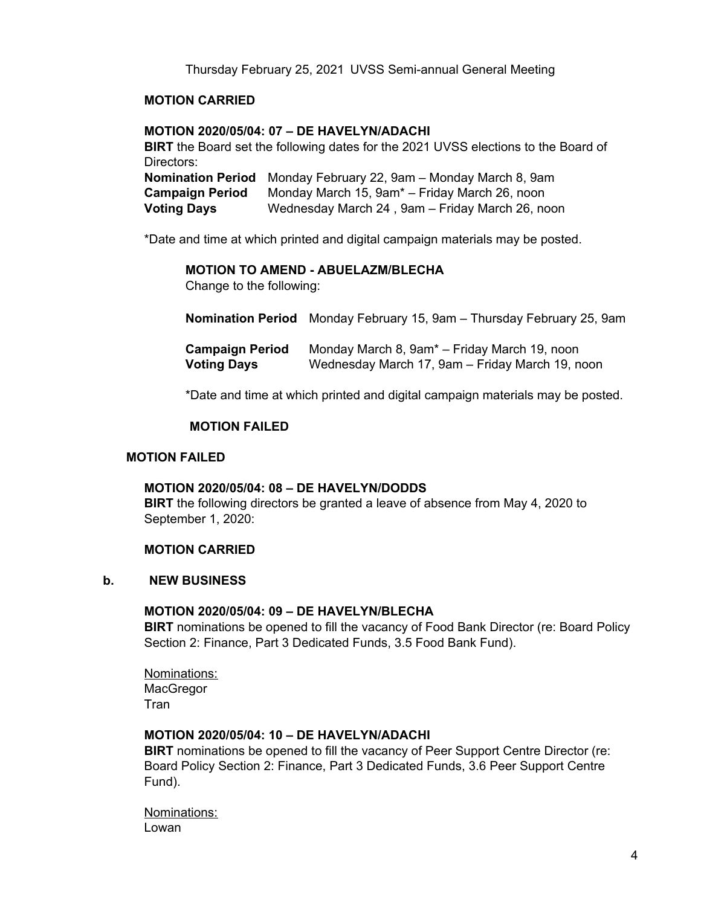## **MOTION CARRIED**

#### **MOTION 2020/05/04: 07 – DE HAVELYN/ADACHI**

**BIRT** the Board set the following dates for the 2021 UVSS elections to the Board of Directors:

**Nomination Period** Monday February 22, 9am – Monday March 8, 9am **Campaign Period** Monday March 15, 9am\* – Friday March 26, noon **Voting Days** Wednesday March 24 , 9am – Friday March 26, noon

\*Date and time at which printed and digital campaign materials may be posted.

## **MOTION TO AMEND - ABUELAZM/BLECHA**

Change to the following:

**Nomination Period** Monday February 15, 9am – Thursday February 25, 9am

| <b>Campaign Period</b> | Monday March 8, 9am <sup>*</sup> – Friday March 19, noon |
|------------------------|----------------------------------------------------------|
| <b>Voting Days</b>     | Wednesday March 17, 9am - Friday March 19, noon          |

\*Date and time at which printed and digital campaign materials may be posted.

#### **MOTION FAILED**

#### **MOTION FAILED**

# **MOTION 2020/05/04: 08 – DE HAVELYN/DODDS**

**BIRT** the following directors be granted a leave of absence from May 4, 2020 to September 1, 2020:

#### **MOTION CARRIED**

#### **b. NEW BUSINESS**

#### **MOTION 2020/05/04: 09 – DE HAVELYN/BLECHA**

**BIRT** nominations be opened to fill the vacancy of Food Bank Director (re: Board Policy Section 2: Finance, Part 3 Dedicated Funds, 3.5 Food Bank Fund).

Nominations: **MacGregor** Tran

#### **MOTION 2020/05/04: 10 – DE HAVELYN/ADACHI**

**BIRT** nominations be opened to fill the vacancy of Peer Support Centre Director (re: Board Policy Section 2: Finance, Part 3 Dedicated Funds, 3.6 Peer Support Centre Fund).

Nominations: Lowan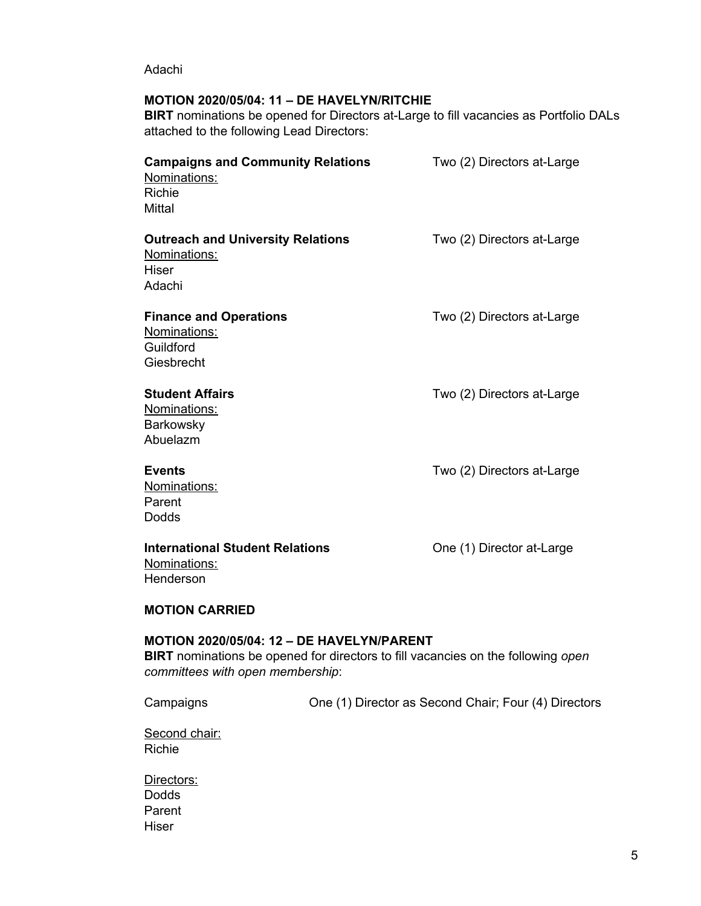Adachi

#### **MOTION 2020/05/04: 11 – DE HAVELYN/RITCHIE**

**BIRT** nominations be opened for Directors at-Large to fill vacancies as Portfolio DALs attached to the following Lead Directors:

| <b>Campaigns and Community Relations</b><br>Nominations:<br><b>Richie</b><br><b>Mittal</b> | Two (2) Directors at-Large |  |
|--------------------------------------------------------------------------------------------|----------------------------|--|
| <b>Outreach and University Relations</b><br>Nominations:<br>Hiser<br>Adachi                | Two (2) Directors at-Large |  |
| <b>Finance and Operations</b><br>Nominations:<br>Guildford<br>Giesbrecht                   | Two (2) Directors at-Large |  |
| <b>Student Affairs</b><br>Nominations:<br>Barkowsky<br>Abuelazm                            | Two (2) Directors at-Large |  |
| <b>Events</b><br>Nominations:<br>Parent<br>Dodds                                           | Two (2) Directors at-Large |  |
| <b>International Student Relations</b><br>Nominations:<br>Henderson                        | One (1) Director at-Large  |  |
| <b>MOTION CARRIED</b>                                                                      |                            |  |
| <b>MOTION 2020/05/04: 12 - DE HAVELYN/PARENT</b>                                           |                            |  |

**BIRT** nominations be opened for directors to fill vacancies on the following *open committees with open membership*:

Campaigns One (1) Director as Second Chair; Four (4) Directors

Second chair: Richie

Directors: Dodds Parent **Hiser**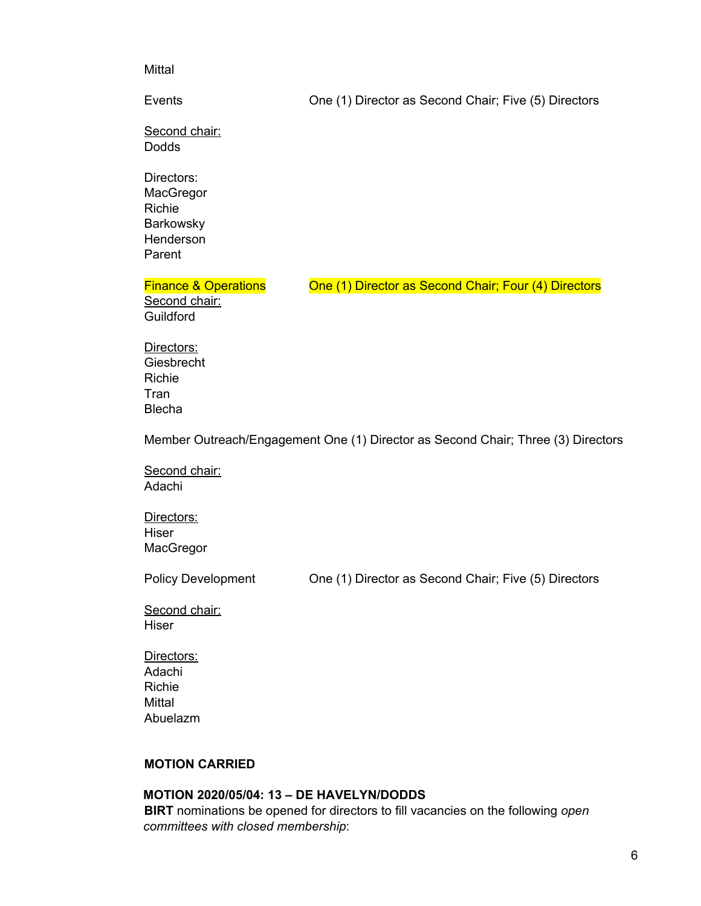#### **Mittal**

Events One (1) Director as Second Chair; Five (5) Directors

Second chair: **Dodds** 

Directors: **MacGregor** Richie **Barkowsky Henderson** Parent

Finance & Operations **One (1) Director as Second Chair; Four (4) Directors** 

Second chair: **Guildford** 

Directors: **Giesbrecht** Richie Tran Blecha

Member Outreach/Engagement One (1) Director as Second Chair; Three (3) Directors

Second chair: Adachi

Directors: Hiser **MacGregor** 

Policy Development **One (1) Director as Second Chair; Five (5) Directors** 

Second chair: **Hiser** 

Directors: Adachi Richie **Mittal** Abuelazm

# **MOTION CARRIED**

## **MOTION 2020/05/04: 13 – DE HAVELYN/DODDS**

**BIRT** nominations be opened for directors to fill vacancies on the following *open committees with closed membership*: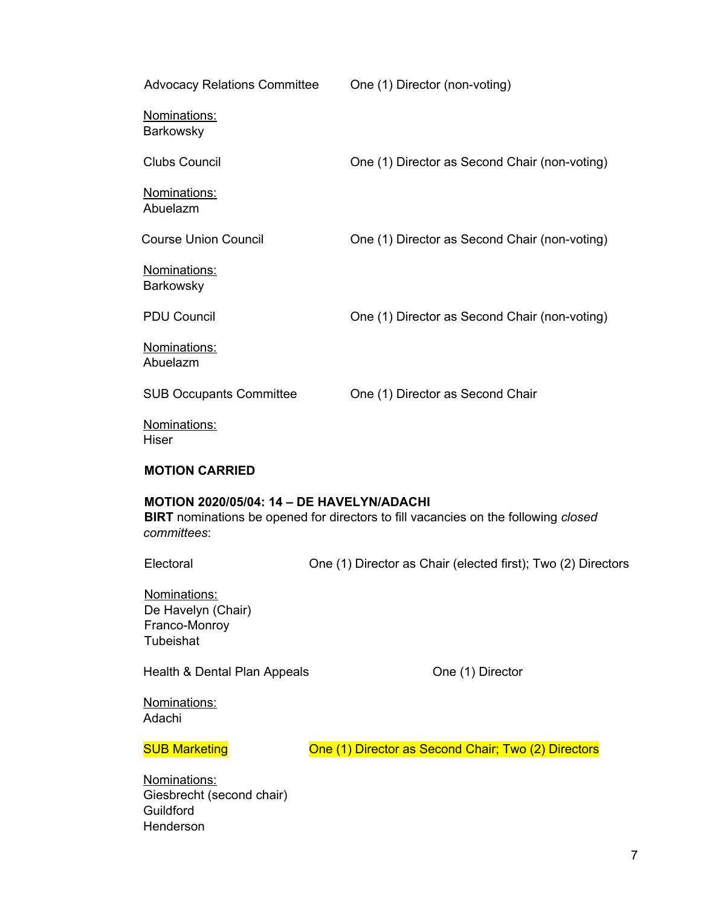| <b>Advocacy Relations Committee</b>                                 | One (1) Director (non-voting)                                                             |
|---------------------------------------------------------------------|-------------------------------------------------------------------------------------------|
| Nominations:<br>Barkowsky                                           |                                                                                           |
| <b>Clubs Council</b>                                                | One (1) Director as Second Chair (non-voting)                                             |
| Nominations:<br>Abuelazm                                            |                                                                                           |
| <b>Course Union Council</b>                                         | One (1) Director as Second Chair (non-voting)                                             |
| Nominations:<br>Barkowsky                                           |                                                                                           |
| <b>PDU Council</b>                                                  | One (1) Director as Second Chair (non-voting)                                             |
| Nominations:<br>Abuelazm                                            |                                                                                           |
| <b>SUB Occupants Committee</b>                                      | One (1) Director as Second Chair                                                          |
| Nominations:<br><b>Hiser</b>                                        |                                                                                           |
| <b>MOTION CARRIED</b>                                               |                                                                                           |
| <b>MOTION 2020/05/04: 14 - DE HAVELYN/ADACHI</b><br>committees:     | <b>BIRT</b> nominations be opened for directors to fill vacancies on the following closed |
| Electoral                                                           | One (1) Director as Chair (elected first); Two (2) Directors                              |
| Nominations:<br>De Havelyn (Chair)<br>Franco-Monroy<br>Tubeishat    |                                                                                           |
| Health & Dental Plan Appeals                                        | One (1) Director                                                                          |
| Nominations:<br>Adachi                                              |                                                                                           |
| <b>SUB Marketing</b>                                                | One (1) Director as Second Chair; Two (2) Directors                                       |
| Nominations:<br>Giesbrecht (second chair)<br>Guildford<br>Henderson |                                                                                           |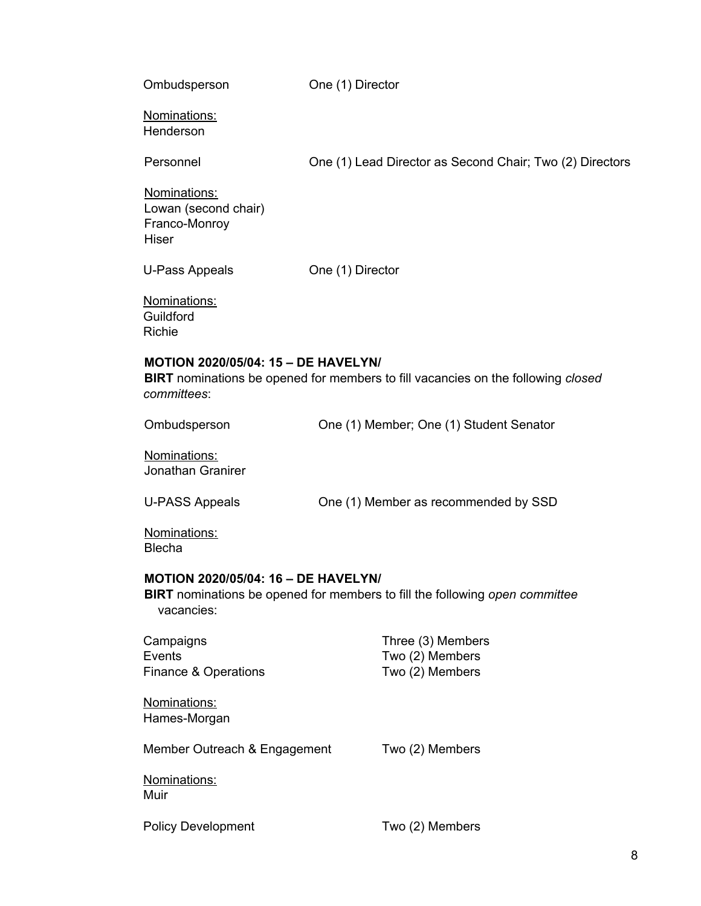| Ombudsperson                                                          | One (1) Director                                                                   |
|-----------------------------------------------------------------------|------------------------------------------------------------------------------------|
| Nominations:<br>Henderson                                             |                                                                                    |
| Personnel                                                             | One (1) Lead Director as Second Chair; Two (2) Directors                           |
| Nominations:<br>Lowan (second chair)<br>Franco-Monroy<br><b>Hiser</b> |                                                                                    |
| U-Pass Appeals                                                        | One (1) Director                                                                   |
| Nominations:<br>Guildford<br><b>Richie</b>                            |                                                                                    |
| <b>MOTION 2020/05/04: 15 - DE HAVELYN/</b><br>committees:             | BIRT nominations be opened for members to fill vacancies on the following closed   |
| Ombudsperson                                                          | One (1) Member; One (1) Student Senator                                            |
| Nominations:<br>Jonathan Granirer                                     |                                                                                    |
| <b>U-PASS Appeals</b>                                                 | One (1) Member as recommended by SSD                                               |
| Nominations:<br><b>Blecha</b>                                         |                                                                                    |
| <b>MOTION 2020/05/04: 16 - DE HAVELYN/</b><br>vacancies:              | <b>BIRT</b> nominations be opened for members to fill the following open committee |
| Campaigns<br>Events<br>Finance & Operations                           | Three (3) Members<br>Two (2) Members<br>Two (2) Members                            |
| Nominations:<br>Hames-Morgan                                          |                                                                                    |
| Member Outreach & Engagement                                          | Two (2) Members                                                                    |
| Nominations:<br>Muir                                                  |                                                                                    |
| <b>Policy Development</b>                                             | Two (2) Members                                                                    |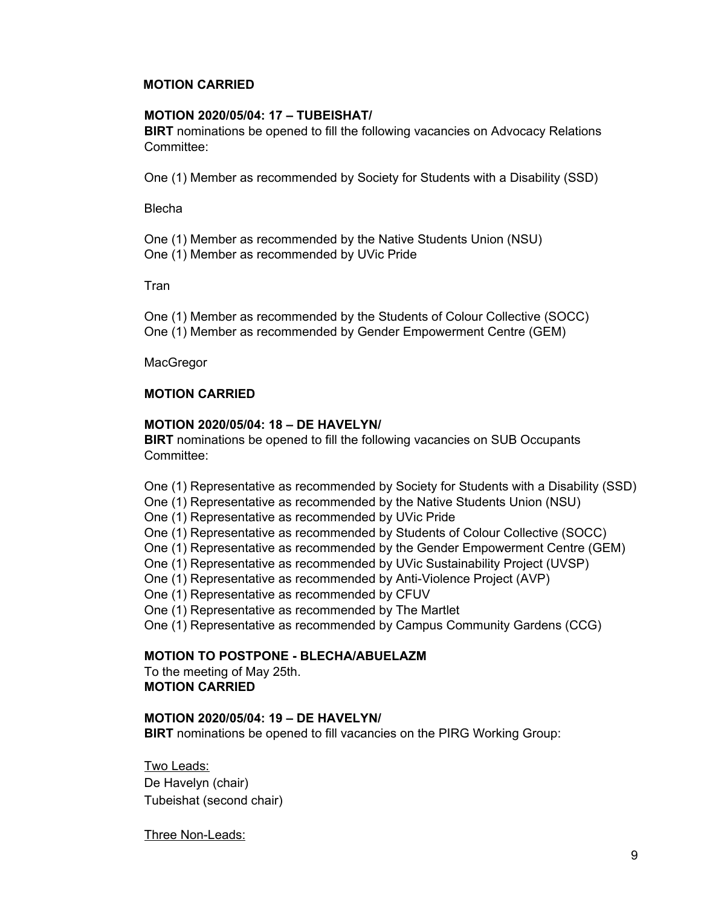## **MOTION CARRIED**

#### **MOTION 2020/05/04: 17 – TUBEISHAT/**

**BIRT** nominations be opened to fill the following vacancies on Advocacy Relations Committee:

One (1) Member as recommended by Society for Students with a Disability (SSD)

Blecha

One (1) Member as recommended by the Native Students Union (NSU) One (1) Member as recommended by UVic Pride

Tran

One (1) Member as recommended by the Students of Colour Collective (SOCC) One (1) Member as recommended by Gender Empowerment Centre (GEM)

**MacGregor** 

#### **MOTION CARRIED**

#### **MOTION 2020/05/04: 18 – DE HAVELYN/**

**BIRT** nominations be opened to fill the following vacancies on SUB Occupants Committee:

One (1) Representative as recommended by Society for Students with a Disability (SSD)

One (1) Representative as recommended by the Native Students Union (NSU)

One (1) Representative as recommended by UVic Pride

One (1) Representative as recommended by Students of Colour Collective (SOCC)

One (1) Representative as recommended by the Gender Empowerment Centre (GEM)

- One (1) Representative as recommended by UVic Sustainability Project (UVSP)
- One (1) Representative as recommended by Anti-Violence Project (AVP)

One (1) Representative as recommended by CFUV

One (1) Representative as recommended by The Martlet

One (1) Representative as recommended by Campus Community Gardens (CCG)

#### **MOTION TO POSTPONE - BLECHA/ABUELAZM**

To the meeting of May 25th. **MOTION CARRIED**

## **MOTION 2020/05/04: 19 – DE HAVELYN/**

**BIRT** nominations be opened to fill vacancies on the PIRG Working Group:

Two Leads: De Havelyn (chair) Tubeishat (second chair)

Three Non-Leads: